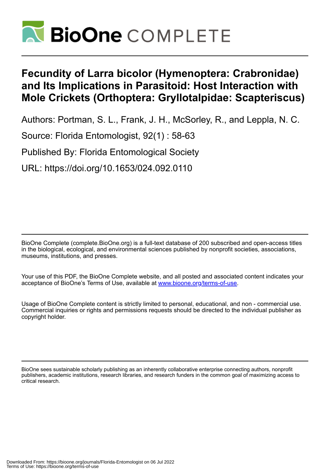

# **Fecundity of Larra bicolor (Hymenoptera: Crabronidae) and Its Implications in Parasitoid: Host Interaction with Mole Crickets (Orthoptera: Gryllotalpidae: Scapteriscus)**

Authors: Portman, S. L., Frank, J. H., McSorley, R., and Leppla, N. C.

Source: Florida Entomologist, 92(1) : 58-63

Published By: Florida Entomological Society

URL: https://doi.org/10.1653/024.092.0110

BioOne Complete (complete.BioOne.org) is a full-text database of 200 subscribed and open-access titles in the biological, ecological, and environmental sciences published by nonprofit societies, associations, museums, institutions, and presses.

Your use of this PDF, the BioOne Complete website, and all posted and associated content indicates your acceptance of BioOne's Terms of Use, available at www.bioone.org/terms-of-use.

Usage of BioOne Complete content is strictly limited to personal, educational, and non - commercial use. Commercial inquiries or rights and permissions requests should be directed to the individual publisher as copyright holder.

BioOne sees sustainable scholarly publishing as an inherently collaborative enterprise connecting authors, nonprofit publishers, academic institutions, research libraries, and research funders in the common goal of maximizing access to critical research.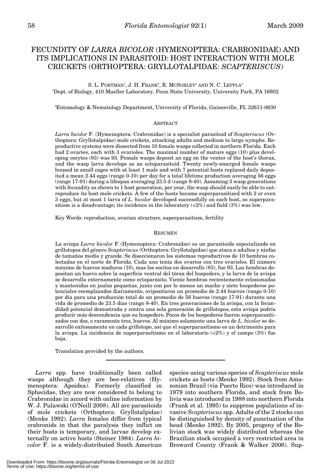## FECUNDITY OF *LARRA BICOLOR* (HYMENOPTERA: CRABRONIDAE) AND ITS IMPLICATIONS IN PARASITOID: HOST INTERACTION WITH MOLE CRICKETS (ORTHOPTERA: GRYLLOTALPIDAE: *SCAPTERISCUS*)

S. L. PORTMAN<sup>1</sup>, J. H. Frank<sup>2</sup>, R. McSorley<sup>2</sup> and N. C. Leppla<sup>2</sup> 1 Dept. of Biology, 410 Mueller Laboratory, Penn State University, University Park, PA 16802

2 Entomology & Nematology Department, University of Florida, Gainesville, FL 32611-0630

## ABSTRACT

*Larra bicolor* F. (Hymenoptera: Crabronidae) is a specialist parasitoid of *Scapteriscus* (Orthoptera: Gryllotalpidae) mole crickets, attacking adults and medium to large nymphs. Reproductive systems were dissected from 10 female wasps collected in northern Florida. Each had 2 ovaries, each with 3 ovarioles. The maximal number of mature eggs (10) plus developing oocytes (83) was 93. Female wasps deposit an egg on the venter of the host's thorax, and the wasp larva develops as an ectoparasitoid. Twenty newly-emerged female wasps housed in small cages with at least 1 male and with 7 potential hosts replaced daily deposited a mean 2.44 eggs (range 0-10) per day for a total lifetime production averaging 56 eggs (range 17-91) during a lifespan averaging 23.5 d (range 8-40). Assuming 3 wasp generations with fecundity as shown to 1 host generation, per year, the wasp should easily be able to outreproduce its host mole crickets. A few of the hosts became superparasitized with 2 or even 3 eggs, but at most 1 larva of *L. bicolor* developed successfully on each host, so superparasitism is a disadvantage; its incidence in the laboratory  $\left( \langle 2\% \rangle \right)$  and field  $\left( 3\% \right)$  was low.

Key Words: reproduction, ovarian structure, superparasitism, fertility

### **RESUMEN**

La avispa *Larra bicolor* F. (Hymenoptera: Crabronidae) es un parasitoide especializado en grillotopos del género *Scapteriscus* (Orthoptera: Gryllotalpidae) que ataca a adultos y ninfas de tamaños medio y grande. Se diseccionaron los sistemas reproductivos de 10 hembras colectadas en el norte de Florida. Cada uno tenía dos ovarios con tres ovarioles. El número máximo de huevos maduros (10), mas los oocitos en desarrollo (83), fue 93. Las hembras depositan un huevo sobre la superficie ventral del tórax del hospedero, y la larva de la avispa se desarrolla externamente como ectoparásito. Viente hembras recientemente eclosionadas y mantenidas en jaulas pequeñas, junto con por lo menos un macho y siete hospederos potenciales reemplazados diariamente, ovipositaron un promedio de 2.44 huevos (rango 0-10) por día para una producción total de un promedio de 56 huevos (rango 17-91) durante una vida de promedio de 23.5 días (rango 8-40). En tres generaciones de la avispa, con la fecundidad potencial demostrada y contra una sola generación de grillotopos, esta avispa podría producir más descendencia que su hospedero. Pocos de los hospederos fueron superparasitizados con dos, o raramente tres, huevos. Al máximo solamente una larva de *L. bicolor* se desarrolló exitosamente en cada grillotopo, así que el superparasitismo es un detrimento para la avispa. La incidencia de superparasitismo en el laboratorio  $\langle 2\% \rangle$  y el campo  $\langle 3\% \rangle$  fue baja.

Translation provided by the authors.

*Larra* spp. have traditionally been called wasps although they are bee-relatives (Hymenoptera: Apoidea). Formerly classified in Sphecidae, they are now considered to belong to Crabronidae in accord with online information by W. J. Pulawski (O'Neill 2008). All are parasitoids of mole crickets (Orthoptera: Gryllotalpidae) (Menke 1992). *Larra* females differ from typical crabronids in that the paralysis they inflict on their hosts is temporary, and larvae develop externally on active hosts (Steiner 1984). *Larra bicolor* F. is a widely-distributed South American

species using various species of *Scapteriscus* mole crickets as hosts (Menke 1992). Stock from Amazonian Brazil (via Puerto Rico) was introduced in 1979 into southern Florida, and stock from Bolivia was introduced in 1988 into northern Florida (Frank et al. 1995) to suppress populations of invasive *Scapteriscus* spp. Adults of the 2 stocks can be distinguished by density of punctuation of the head (Menke 1992). By 2005, progeny of the Bolivian stock was widely distributed whereas the Brazilian stock occupied a very restricted area in Broward County (Frank & Walker 2006). Sup-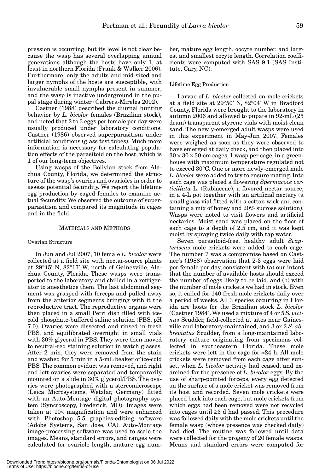pression is occurring, but its level is not clear because the wasp has several overlapping annual generations although the hosts have only 1, at least in northern Florida (Frank & Walker 2006). Furthermore, only the adults and mid-sized and larger nymphs of the hosts are susceptible, with invulnerable small nymphs present in summer, and the wasp is inactive underground in the pupal stage during winter (Cabrera-Mireles 2002).

Castner (1988) described the diurnal hunting behavior by *L. bicolor* females (Brazilian stock), and noted that 2 to 3 eggs per female per day were usually produced under laboratory conditions. Castner (1986) observed superparasitism under artificial conditions (glass test tubes). Much more information is necessary for calculating population effects of the parasitoid on the host, which is 1 of our long-term objectives.

Using wasps of the Bolivian stock from Alachua County, Florida, we determined the structure of the wasp's ovaries and ovarioles in order to assess potential fecundity. We report the lifetime egg production by caged females to examine actual fecundity. We observed the outcome of superparasitism and compared its magnitude in cages and in the field.

## MATERIALS AND METHODS

#### Ovarian Structure

In Jun and Jul 2007, 10 female *L. bicolor* were collected at a field site with nectar-source plants at 29°45' N, 82°17' W, north of Gainesville, Alachua County, Florida. These wasps were transported to the laboratory and chilled in a refrigerator to anesthetize them. The last abdominal segment was grasped with forceps and pulled away from the anterior segments bringing with it the reproductive tract. The reproductive organs were then placed in a small Petri dish filled with icecold phosphate-buffered saline solution (PBS, pH 7.0). Ovaries were dissected and rinsed in fresh PBS, and equilibrated overnight in small vials with 30% glycerol in PBS. They were then moved to neutral-red staining solution in watch glasses. After 2 min, they were removed from the stain and washed for 5 min in a 5-mL beaker of ice-cold PBS. The common oviduct was removed, and right and left ovaries were separated and temporarily mounted on a slide in 30% glycerol/PBS. The ovaries were photographed with a stereomicroscope (Leica Microsystems, Wetzlar, Germany) fitted with an Auto-Montage digital photography system (Syncroscopy, Frederick, MD). Images were taken at 10× magnification and were enhanced with Photoshop 5.5 graphics-editing software (Adobe Systems, San Jose, CA). Auto-Montage image-processing software was used to scale the images. Means, standard errors, and ranges were calculated for ovariole length, mature egg num-

ber, mature egg length, oocyte number, and largest and smallest oocyte length. Correlation coefficients were computed with SAS 9.1 (SAS Institute, Cary, NC).

## Lifetime Egg Production

Larvae of *L. bicolor* collected on mole crickets at a field site at 29°50' N, 82°04' W in Bradford County, Florida were brought to the laboratory in autumn 2006 and allowed to pupate in 92-mL (25 dram) transparent styrene vials with moist clean sand. The newly-emerged adult wasps were used in this experiment in May-Jun 2007. Females were weighed as soon as they were observed to have emerged at daily check, and then placed into  $30 \times 30 \times 30$ -cm cages, 1 wasp per cage, in a greenhouse with maximum temperature regulated not to exceed 30°C. One or more newly-emerged male *L. bicolor* were added to try to ensure mating. Into each cage was placed a flowering *Spermacoce verticillata* L. (Rubiaceae), a favored nectar source, in a 4-L pot together with an artificial nectary (a small glass vial fitted with a cotton wick and containing a mix of honey and 20% sucrose solution). Wasps were noted to visit flowers and artificial nectaries. Moist sand was placed on the floor of each cage to a depth of 2.5 cm, and it was kept moist by spraying twice daily with tap water.

Seven parasitoid-free, healthy adult *Scapteriscus* mole crickets were added to each cage. The number 7 was a compromise based on Castner's (1988) observation that 2-3 eggs were laid per female per day, consistent with (a) our intent that the number of available hosts should exceed the number of eggs likely to be laid, and (b) with the number of mole crickets we had in stock. Even so, it called for 140 fresh mole crickets daily over a period of weeks. All 3 species occurring in Florida are hosts for the Brazilian stock *L. bicolor* (Castner 1984). We used a mixture of 4 or 5 *S. vicinus* Scudder, field-collected at sites near Gainesville and laboratory-maintained, and 3 or 2 *S. abbreviatus* Scudder, from a long-maintained laboratory culture originating from specimens collected in southeastern Florida. These mole crickets were left in the cage for  $\approx 24$  h. All mole crickets were removed from each cage after sunset, when *L. bicolor* activity had ceased, and examined for the presence of *L. bicolor* eggs. By the use of sharp-pointed forceps, every egg detected on the surface of a mole cricket was removed from its host and recorded. Seven mole crickets were placed back into each cage, but mole crickets from which eggs had been removed were not recycled into cages until ≥3 d had passed. This procedure was followed daily with the mole crickets until the female wasp (whose presence was checked daily) had died. The routine was followed until data were collected for the progeny of 20 female wasps. Means and standard errors were computed for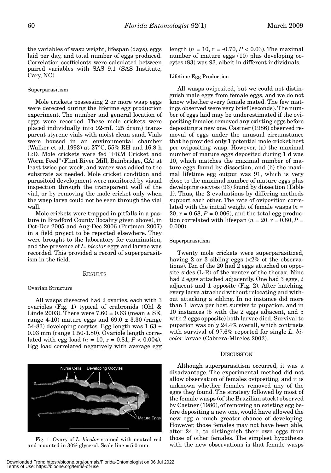the variables of wasp weight, lifespan (days), eggs laid per day, and total number of eggs produced. Correlation coefficients were calculated between paired variables with SAS 9.1 (SAS Institute, Cary, NC).

## Superparasitism

Mole crickets possessing 2 or more wasp eggs were detected during the lifetime egg production experiment. The number and general location of eggs were recorded. These mole crickets were placed individually into 92-mL (25 dram) transparent styrene vials with moist clean sand. Vials were housed in an environmental chamber (Walker et al. 1993) at 27°C, 55% RH and 16:8 h L:D. Mole crickets were fed "FRM Cricket and Worm Feed" (Flint River Mill, Bainbridge, GA) at least twice per week, and water was added to the substrate as needed. Mole cricket condition and parasitoid development were monitored by visual inspection through the transparent wall of the vial, or by removing the mole cricket only when the wasp larva could not be seen through the vial wall.

Mole crickets were trapped in pitfalls in a pasture in Bradford County (locality given above), in Oct-Dec 2005 and Aug-Dec 2006 (Portman 2007) in a field project to be reported elsewhere. They were brought to the laboratory for examination, and the presence of *L. bicolor* eggs and larvae was recorded. This provided a record of superparasitism in the field.

#### RESULTS

#### Ovarian Structure

All wasps dissected had 2 ovaries, each with 3 ovarioles (Fig. 1) typical of crabronids (Ohl & Linde 2003). There were  $7.60 \pm 0.63$  (mean  $\pm$  SE, range 4-10) mature eggs and  $69.0 \pm 3.30$  (range 54-83) developing oocytes. Egg length was  $1.63 \pm 1.63$ 0.03 mm (range 1.50-1.80). Ovariole length correlated with egg load  $(n = 10, r = 0.81, P < 0.004)$ . Egg load correlated negatively with average egg



and mounted in 30% glycerol. Scale line = 5.0 mm.

length ( $n = 10$ ,  $r = -0.70$ ,  $P < 0.03$ ). The maximal number of mature eggs (10) plus developing oocytes (83) was 93, albeit in different individuals.

#### Lifetime Egg Production

All wasps oviposited, but we could not distinguish male eggs from female eggs, and we do not know whether every female mated. The few matings observed were very brief (seconds). The number of eggs laid may be underestimated if the ovipositing females removed any existing eggs before depositing a new one. Castner (1986) observed removal of eggs under the unusual circumstance that he provided only 1 potential mole cricket host per ovipositing wasp. However, (a) the maximal number of mature eggs deposited during 1 d was 10, which matches the maximal number of mature eggs found by dissection, and (b) the maximal lifetime egg output was 91, which is very close to the maximal number of mature eggs plus developing oocytes (93) found by dissection (Table 1). Thus, the 2 evaluations by differing methods support each other. The rate of oviposition correlated with the initial weight of female wasps  $(n =$  $20, r = 0.68, P = 0.006$ , and the total egg production correlated with lifespan  $(n = 20, r = 0.80, P =$ 0.000).

## Superparasitism

Twenty mole crickets were superparasitized, having 2 or 3 sibling eggs (<2% of the observations). Ten of the 20 had 2 eggs attached on opposite sides (L-R) of the venter of the thorax. Nine had 2 eggs attached adjacently. One had 3 eggs, 2 adjacent and 1 opposite (Fig. 2). After hatching, every larva attached without relocating and without attacking a sibling. In no instance did more than 1 larva per host survive to pupation, and in 10 instances (5 with the 2 eggs adjacent, and 5 with 2 eggs opposite) both larvae died. Survival to pupation was only 24.4% overall, which contrasts with survival of 97.6% reported for single *L. bicolor* larvae (Cabrera-Mireles 2002).

#### **DISCUSSION**

Although superparasitism occurred, it was a disadvantage. The experimental method did not allow observation of females ovipositing, and it is unknown whether females removed any of the eggs they found. The strategy followed by most of the female wasps (of the Brazilian stock) observed by Castner (1986), of removing an existing egg before depositing a new one, would have allowed the new egg a much greater chance of developing. However, those females may not have been able, after 24 h, to distinguish their own eggs from those of other females. The simplest hypothesis Fig. 1. Ovary of *L. bicolor* stained with neutral red those of other females. The simplest hypothesis is that female wasps Fig. 1. Ovary of *L. bicolor* stained with neutral red with the new observations is that female wa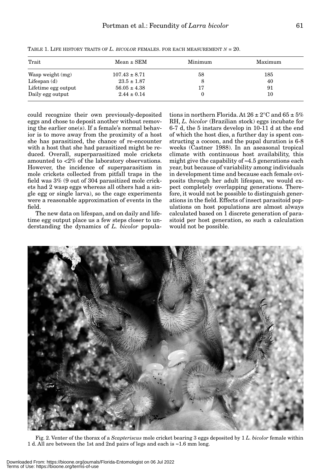| Trait               | $Mean \pm SEM$    | Minimum | Maximum |
|---------------------|-------------------|---------|---------|
| Wasp weight (mg)    | $107.43 \pm 8.71$ | 58      | 185     |
| Lifespan $(d)$      | $23.5 \pm 1.87$   |         | 40      |
| Lifetime egg output | $56.05 \pm 4.38$  | 17      | 91      |
| Daily egg output    | $2.44 \pm 0.14$   |         | 10      |

TABLE 1. LIFE HISTORY TRAITS OF *L. BICOLOR* FEMALES. FOR EACH MEASUREMENT *N* = 20.

could recognize their own previously-deposited eggs and chose to deposit another without removing the earlier one(s). If a female's normal behavior is to move away from the proximity of a host she has parasitized, the chance of re-encounter with a host that she had parasitized might be reduced. Overall, superparasitized mole crickets amounted to <2% of the laboratory observations. However, the incidence of superparasitism in mole crickets collected from pitfall traps in the field was 3% (9 out of 304 parasitized mole crickets had 2 wasp eggs whereas all others had a single egg or single larva), so the cage experiments were a reasonable approximation of events in the field.

The new data on lifespan, and on daily and lifetime egg output place us a few steps closer to understanding the dynamics of *L. bicolor* populations in northern Florida. At  $26 \pm 2^{\circ}$ C and  $65 \pm 5\%$ RH, *L. bicolor* (Brazilian stock) eggs incubate for 6-7 d, the 5 instars develop in 10-11 d at the end of which the host dies, a further day is spent constructing a cocoon, and the pupal duration is 6-8 weeks (Castner 1988). In an aseasonal tropical climate with continuous host availability, this might give the capability of ≈4.5 generations each year, but because of variability among individuals in development time and because each female oviposits through her adult lifespan, we would expect completely overlapping generations. Therefore, it would not be possible to distinguish generations in the field. Effects of insect parasitoid populations on host populations are almost always calculated based on 1 discrete generation of parasitoid per host generation, so such a calculation would not be possible.



Fig. 2. Venter of the thorax of a *Scapteriscus* mole cricket bearing 3 eggs deposited by 1 *L. bicolor* female within 1 d. All are between the 1st and 2nd pairs of legs and each is ≈1.6 mm long.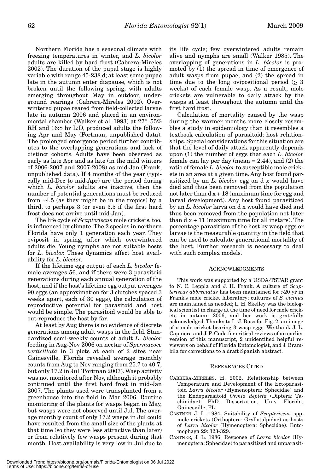Northern Florida has a seasonal climate with freezing temperatures in winter, and *L. bicolor* adults are killed by hard frost (Cabrera-Mireles 2002). The duration of the pupal stage is highly variable with range 45-238 d; at least some pupae late in the autumn enter diapause, which is not broken until the following spring, with adults emerging throughout May in outdoor, underground rearings (Cabrera-Mireles 2002). Overwintered pupae reared from field-collected larvae late in autumn 2006 and placed in an environmental chamber (Walker et al. 1993) at 27°, 55% RH and 16:8 hr L:D, produced adults the following Apr and May (Portman, unpublished data). The prolonged emergence period further contributes to the overlapping generations and lack of distinct cohorts. Adults have been observed as early as late Apr and as late (in the mild winters of 2006-2007 and 2007-2008) as mid-Jan (Frank, unpublished data). If 4 months of the year (typically mid-Dec to mid-Apr) are the period during which *L. bicolor* adults are inactive, then the number of potential generations must be reduced from  $\approx$ 4.5 (as they might be in the tropics) by a third, to perhaps 3 (or even 3.5 if the first hard frost does not arrive until mid-Jan).

The life cycle of *Scapteriscus* mole crickets, too, is influenced by climate. The 2 species in northern Florida have only 1 generation each year. They oviposit in spring, after which overwintered adults die. Young nymphs are not suitable hosts for *L. bicolor.* These dynamics affect host availability for *L. bicolor*.

If the lifetime egg output of each *L. bicolor* female averages 56, and if there were 3 parasitoid generations during each annual generation of the host, and if the host's lifetime egg output averages 90 eggs (an approximation for 3 clutches spaced 3 weeks apart, each of 30 eggs), the calculation of reproductive potential for parasitoid and host would be simple. The parasitoid would be able to out-reproduce the host by far.

At least by Aug there is no evidence of discrete generations among adult wasps in the field. Standardized semi-weekly counts of adult *L. bicolor* feeding in Aug-Nov 2006 on nectar of *Spermacoce verticillata* in 3 plots at each of 2 sites near Gainesville, Florida revealed average monthly counts from Aug to Nov ranging from 25.7 to 40.7, but only 17.2 in Jul (Portman 2007). Wasp activity was not monitored after Nov, although it probably continued until the first hard frost in mid-Jan 2007. The plants used were transplanted from a greenhouse into the field in Mar 2006. Routine monitoring of the plants for wasps began in May, but wasps were not observed until Jul. The average monthly count of only 17.2 wasps in Jul could have resulted from the small size of the plants at that time (so they were less attractive than later) or from relatively few wasps present during that month. Host availability is very low in Jul due to

its life cycle; few overwintered adults remain alive and nymphs are small (Walker 1985). The overlapping of generations in *L. bicolor* is promoted by (1) the spread in time of emergence of adult wasps from pupae, and (2) the spread in time due to the long ovipositional period  $(2 \ 3)$ weeks) of each female wasp. As a result, mole crickets are vulnerable to daily attack by the wasps at least throughout the autumn until the first hard frost.

Calculation of mortality caused by the wasp during the warmer months more closely resembles a study in epidemiology than it resembles a textbook calculation of parasitoid: host relationships. Special considerations for this situation are that the level of daily attack apparently depends upon (1) the number of eggs that each *L. bicolor* female can lay per day (mean  $= 2.44$ ), and (2) the ratio of female *L. bicolor* to susceptible mole crickets in an area at a given time. Any host found parasitized by an *L. bicolor* egg on d x would have died and thus been removed from the population not later than  $dx + 18$  (maximum time for egg and larval development). Any host found parasitized by an *L. bicolor* larva on d x would have died and thus been removed from the population not later than  $dx + 11$  (maximum time for all instars). The percentage parasitism of the host by wasp eggs or larvae is the measurable quantity in the field that can be used to calculate generational mortality of the host. Further research is necessary to deal with such complex models.

## ACKNOWLEDGMENTS

This work was supported by a USDA-TSTAR grant to N. C. Leppla and J. H. Frank. A culture of *Scapteriscus abbreviatus* has been maintained for >20 yr in Frank's mole cricket laboratory; cultures of *S. vicinus* are maintained as needed; L. H. Skelley was the biological scientist in charge at the time of need for mole crickets in autumn 2006, and her work is gratefully acknowledged. Thanks to L. J. Buss for Fig. 2, an image of a mole cricket bearing 3 wasp eggs. We thank J. L. Capinera and J. P. Cuda for critical reviews of an earlier version of this manuscript, 2 unidentified helpful reviewers on behalf of Florida Entomologist, and J. Brambila for corrections to a draft Spanish abstract.

## REFERENCES CITED

- CABRERA-MIRELES, H. 2002. Relationship between Temperature and Development of the Ectoparasitoid *Larra bicolor* (Hymenoptera: Sphecidae) and the Endoparasitoid *Ormia depleta* (Diptera: Tachinidae). PhD. Dissertation, Univ. Florida, Gainesville, FL.
- CASTNER J. L. 1984. Suitability of *Scapteriscus* spp. mole crickets (Orthoptera: Gryllotalpidae) as hosts of *Larra bicolor* (Hymenoptera: Sphecidae). Entomophaga 29: 323-329.
- CASTNER, J. L. 1986. Response of *Larra bicolor* (Hymenoptera: Sphecidae) to parasitized and unparasit-